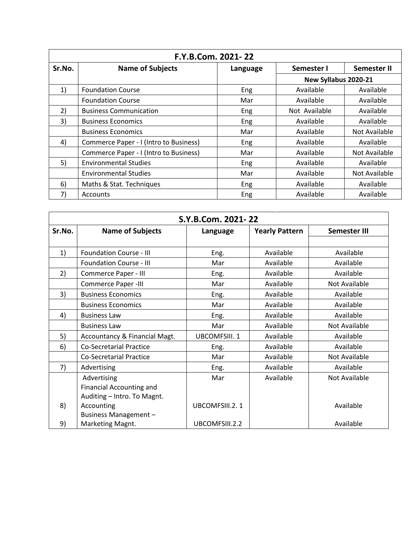| F.Y.B.Com. 2021-22 |                                        |          |                           |               |  |  |
|--------------------|----------------------------------------|----------|---------------------------|---------------|--|--|
| Sr.No.             | <b>Name of Subjects</b>                | Language | Semester II<br>Semester I |               |  |  |
|                    |                                        |          | New Syllabus 2020-21      |               |  |  |
| 1)                 | <b>Foundation Course</b>               | Eng      | Available                 | Available     |  |  |
|                    | <b>Foundation Course</b>               | Mar      | Available                 | Available     |  |  |
| 2)                 | <b>Business Communication</b>          | Eng      | Not Available             | Available     |  |  |
| 3)                 | <b>Business Economics</b>              | Eng      | Available                 | Available     |  |  |
|                    | <b>Business Economics</b>              | Mar      | Available                 | Not Available |  |  |
| 4)                 | Commerce Paper - I (Intro to Business) | Eng      | Available                 | Available     |  |  |
|                    | Commerce Paper - I (Intro to Business) | Mar      | Available                 | Not Available |  |  |
| 5)                 | <b>Environmental Studies</b>           | Eng      | Available                 | Available     |  |  |
|                    | <b>Environmental Studies</b>           | Mar      | Available                 | Not Available |  |  |
| 6)                 | Maths & Stat. Techniques               | Eng      | Available                 | Available     |  |  |
| 7)                 | Accounts                               | Eng      | Available                 | Available     |  |  |

| S.Y.B.Com. 2021-22 |                                 |                     |                       |               |  |
|--------------------|---------------------------------|---------------------|-----------------------|---------------|--|
| Sr.No.             | <b>Name of Subjects</b>         | Language            | <b>Yearly Pattern</b> | Semester III  |  |
|                    |                                 |                     |                       |               |  |
| 1)                 | <b>Foundation Course - III</b>  | Eng.                | Available             | Available     |  |
|                    | <b>Foundation Course - III</b>  | Mar                 | Available             | Available     |  |
| 2)                 | Commerce Paper - III            | Eng.                | Available             | Available     |  |
|                    | Commerce Paper -III             | Mar                 | Available             | Not Available |  |
| 3)                 | <b>Business Economics</b>       | Eng.                | Available             | Available     |  |
|                    | <b>Business Economics</b>       | Mar                 | Available             | Available     |  |
| 4)                 | <b>Business Law</b>             | Eng.                | Available             | Available     |  |
|                    | <b>Business Law</b>             | Mar                 | Available             | Not Available |  |
| 5)                 | Accountancy & Financial Magt.   | <b>UBCOMFSIII.1</b> | Available             | Available     |  |
| 6)                 | <b>Co-Secretarial Practice</b>  | Eng.                | Available             | Available     |  |
|                    | <b>Co-Secretarial Practice</b>  | Mar                 | Available             | Not Available |  |
| 7)                 | Advertising                     | Eng.                | Available             | Available     |  |
|                    | Advertising                     | Mar                 | Available             | Not Available |  |
|                    | <b>Financial Accounting and</b> |                     |                       |               |  |
|                    | Auditing - Intro. To Magnt.     |                     |                       |               |  |
| 8)                 | Accounting                      | UBCOMFSIII.2.1      |                       | Available     |  |
|                    | Business Management-            |                     |                       |               |  |
| 9)                 | Marketing Magnt.                | UBCOMFSIII.2.2      |                       | Available     |  |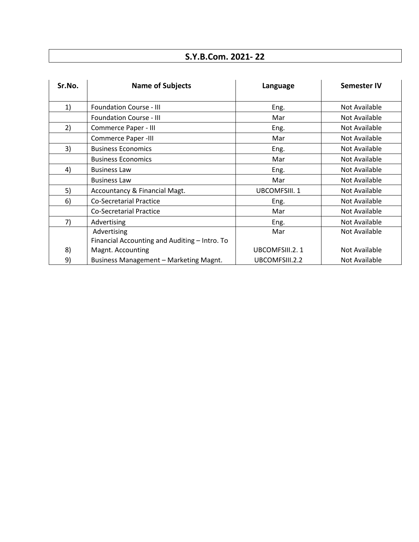## **S.Y.B.Com. 2021- 22**

| Sr.No. | <b>Name of Subjects</b>                       | Language       | <b>Semester IV</b> |
|--------|-----------------------------------------------|----------------|--------------------|
| 1)     | <b>Foundation Course - III</b>                | Eng.           | Not Available      |
|        | <b>Foundation Course - III</b>                | Mar            | Not Available      |
| 2)     | Commerce Paper - III                          | Eng.           | Not Available      |
|        | Commerce Paper -III                           | Mar            | Not Available      |
| 3)     | <b>Business Economics</b>                     | Eng.           | Not Available      |
|        | <b>Business Economics</b>                     | Mar            | Not Available      |
| 4)     | <b>Business Law</b>                           | Eng.           | Not Available      |
|        | <b>Business Law</b>                           | Mar            | Not Available      |
| 5)     | Accountancy & Financial Magt.                 | UBCOMFSIII. 1  | Not Available      |
| 6)     | <b>Co-Secretarial Practice</b>                | Eng.           | Not Available      |
|        | Co-Secretarial Practice                       | Mar            | Not Available      |
| 7)     | Advertising                                   | Eng.           | Not Available      |
|        | Advertising                                   | Mar            | Not Available      |
|        | Financial Accounting and Auditing - Intro. To |                |                    |
| 8)     | Magnt. Accounting                             | UBCOMFSIII.2.1 | Not Available      |
| 9)     | Business Management - Marketing Magnt.        | UBCOMFSIII.2.2 | Not Available      |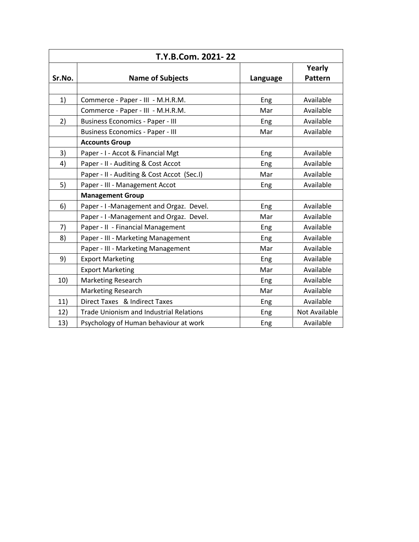| T.Y.B.Com. 2021-22 |                                                |          |                |  |  |
|--------------------|------------------------------------------------|----------|----------------|--|--|
|                    |                                                |          | Yearly         |  |  |
| Sr.No.             | <b>Name of Subjects</b>                        | Language | <b>Pattern</b> |  |  |
|                    |                                                |          |                |  |  |
| 1)                 | Commerce - Paper - III - M.H.R.M.              | Eng      | Available      |  |  |
|                    | Commerce - Paper - III - M.H.R.M.              | Mar      | Available      |  |  |
| 2)                 | <b>Business Economics - Paper - III</b>        | Eng      | Available      |  |  |
|                    | <b>Business Economics - Paper - III</b>        | Mar      | Available      |  |  |
|                    | <b>Accounts Group</b>                          |          |                |  |  |
| 3)                 | Paper - I - Accot & Financial Mgt              | Eng      | Available      |  |  |
| 4)                 | Paper - II - Auditing & Cost Accot             | Eng      | Available      |  |  |
|                    | Paper - II - Auditing & Cost Accot (Sec.I)     | Mar      | Available      |  |  |
| 5)                 | Paper - III - Management Accot                 | Eng      | Available      |  |  |
|                    | <b>Management Group</b>                        |          |                |  |  |
| 6)                 | Paper - I-Management and Orgaz. Devel.         | Eng      | Available      |  |  |
|                    | Paper - I-Management and Orgaz. Devel.         | Mar      | Available      |  |  |
| 7)                 | Paper - II - Financial Management              | Eng      | Available      |  |  |
| 8)                 | Paper - III - Marketing Management             | Eng      | Available      |  |  |
|                    | Paper - III - Marketing Management             | Mar      | Available      |  |  |
| 9)                 | <b>Export Marketing</b>                        | Eng      | Available      |  |  |
|                    | <b>Export Marketing</b>                        | Mar      | Available      |  |  |
| 10)                | Marketing Research                             | Eng      | Available      |  |  |
|                    | <b>Marketing Research</b>                      | Mar      | Available      |  |  |
| 11)                | Direct Taxes & Indirect Taxes                  | Eng      | Available      |  |  |
| 12)                | <b>Trade Unionism and Industrial Relations</b> | Eng      | Not Available  |  |  |
| 13)                | Psychology of Human behaviour at work          | Eng      | Available      |  |  |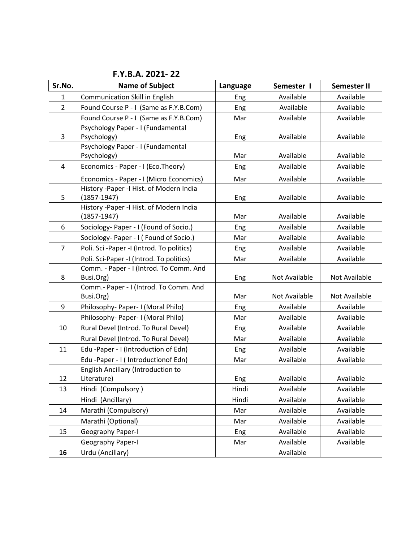|                | F.Y.B.A. 2021-22                                             |          |                      |                      |
|----------------|--------------------------------------------------------------|----------|----------------------|----------------------|
| Sr.No.         | <b>Name of Subject</b>                                       | Language | Semester I           | <b>Semester II</b>   |
| $\mathbf{1}$   | <b>Communication Skill in English</b>                        | Eng      | Available            | Available            |
| $\overline{2}$ | Found Course P - I (Same as F.Y.B.Com)                       | Eng      | Available            | Available            |
|                | Found Course P - I (Same as F.Y.B.Com)                       | Mar      | Available            | Available            |
|                | Psychology Paper - I (Fundamental                            |          |                      |                      |
| 3              | Psychology)                                                  | Eng      | Available            | Available            |
|                | Psychology Paper - I (Fundamental                            |          |                      |                      |
|                | Psychology)                                                  | Mar      | Available            | Available            |
| 4              | Economics - Paper - I (Eco.Theory)                           | Eng      | Available            | Available            |
|                | Economics - Paper - I (Micro Economics)                      | Mar      | Available            | Available            |
| 5              | History - Paper - I Hist. of Modern India<br>$(1857 - 1947)$ | Eng      | Available            | Available            |
|                | History - Paper - I Hist. of Modern India                    |          |                      |                      |
|                | $(1857 - 1947)$                                              | Mar      | Available            | Available            |
| 6              | Sociology- Paper - I (Found of Socio.)                       | Eng      | Available            | Available            |
|                | Sociology- Paper - I (Found of Socio.)                       | Mar      | Available            | Available            |
| 7              | Poli. Sci-Paper-I (Introd. To politics)                      | Eng      | Available            | Available            |
|                | Poli. Sci-Paper -I (Introd. To politics)                     | Mar      | Available            | Available            |
|                | Comm. - Paper - I (Introd. To Comm. And                      |          |                      |                      |
| 8              | Busi.Org)                                                    | Eng      | Not Available        | Not Available        |
|                | Comm.- Paper - I (Introd. To Comm. And                       |          |                      |                      |
|                | Busi.Org)                                                    | Mar      | <b>Not Available</b> | <b>Not Available</b> |
| 9              | Philosophy- Paper- I (Moral Philo)                           | Eng      | Available            | Available            |
|                | Philosophy- Paper- I (Moral Philo)                           | Mar      | Available            | Available            |
| 10             | Rural Devel (Introd. To Rural Devel)                         | Eng      | Available            | Available            |
|                | Rural Devel (Introd. To Rural Devel)                         | Mar      | Available            | Available            |
| 11             | Edu -Paper - I (Introduction of Edn)                         | Eng      | Available            | Available            |
|                | Edu -Paper - I (Introductionof Edn)                          | Mar      | Available            | Available            |
| 12             | <b>English Ancillary (Introduction to</b><br>Literature)     | Eng      | Available            | Available            |
| 13             | Hindi (Compulsory)                                           | Hindi    | Available            | Available            |
|                | Hindi (Ancillary)                                            | Hindi    | Available            | Available            |
| 14             | Marathi (Compulsory)                                         | Mar      | Available            | Available            |
|                | Marathi (Optional)                                           | Mar      | Available            | Available            |
| 15             | Geography Paper-I                                            | Eng      | Available            | Available            |
|                | <b>Geography Paper-I</b>                                     | Mar      | Available            | Available            |
| 16             | Urdu (Ancillary)                                             |          | Available            |                      |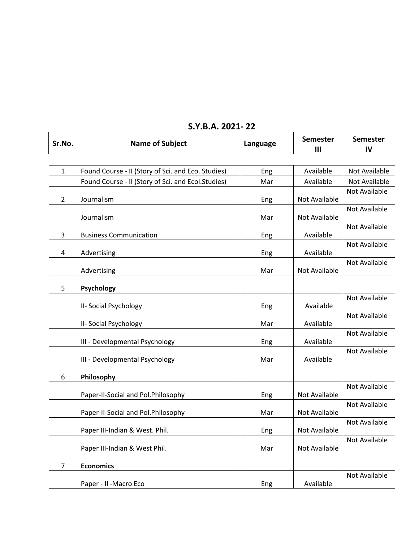|                | S.Y.B.A. 2021-22                                   |          |                      |                       |
|----------------|----------------------------------------------------|----------|----------------------|-----------------------|
| Sr.No.         | <b>Name of Subject</b>                             | Language | <b>Semester</b><br>Ш | <b>Semester</b><br>IV |
|                |                                                    |          |                      |                       |
| $\mathbf{1}$   | Found Course - II (Story of Sci. and Eco. Studies) | Eng      | Available            | Not Available         |
|                | Found Course - II (Story of Sci. and Ecol.Studies) | Mar      | Available            | Not Available         |
| $\overline{2}$ | Journalism                                         | Eng      | Not Available        | Not Available         |
|                | Journalism                                         | Mar      | Not Available        | <b>Not Available</b>  |
| 3              | <b>Business Communication</b>                      | Eng      | Available            | Not Available         |
| 4              | Advertising                                        | Eng      | Available            | Not Available         |
|                | Advertising                                        | Mar      | Not Available        | Not Available         |
| 5              | Psychology                                         |          |                      |                       |
|                | II- Social Psychology                              | Eng      | Available            | Not Available         |
|                | II- Social Psychology                              | Mar      | Available            | Not Available         |
|                | III - Developmental Psychology                     | Eng      | Available            | Not Available         |
|                | III - Developmental Psychology                     | Mar      | Available            | Not Available         |
| 6              | Philosophy                                         |          |                      |                       |
|                | Paper-II-Social and Pol.Philosophy                 | Eng      | Not Available        | Not Available         |
|                | Paper-II-Social and Pol.Philosophy                 | Mar      | Not Available        | Not Available         |
|                | Paper III-Indian & West. Phil.                     | Eng      | Not Available        | Not Available         |
|                | Paper III-Indian & West Phil.                      | Mar      | Not Available        | Not Available         |
| $\overline{7}$ | <b>Economics</b>                                   |          |                      |                       |
|                | Paper - II - Macro Eco                             | Eng      | Available            | Not Available         |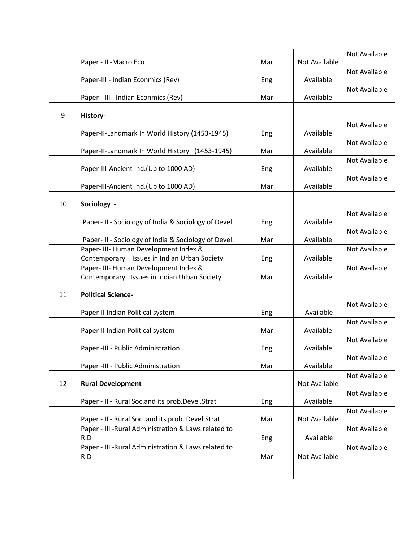|    |                                                      |     |               | Not Available        |
|----|------------------------------------------------------|-----|---------------|----------------------|
|    | Paper - II - Macro Eco                               | Mar | Not Available |                      |
|    |                                                      |     |               | <b>Not Available</b> |
|    | Paper-III - Indian Econmics (Rev)                    | Eng | Available     |                      |
|    |                                                      |     |               | <b>Not Available</b> |
|    | Paper - III - Indian Econmics (Rev)                  | Mar | Available     |                      |
|    |                                                      |     |               |                      |
| 9  | History-                                             |     |               |                      |
|    |                                                      |     |               | Not Available        |
|    | Paper-II-Landmark In World History (1453-1945)       | Eng | Available     |                      |
|    |                                                      |     |               | Not Available        |
|    | Paper-II-Landmark In World History (1453-1945)       | Mar | Available     |                      |
|    |                                                      |     |               | Not Available        |
|    | Paper-III-Ancient Ind. (Up to 1000 AD)               | Eng | Available     |                      |
|    |                                                      |     |               | <b>Not Available</b> |
|    | Paper-III-Ancient Ind. (Up to 1000 AD)               | Mar | Available     |                      |
|    |                                                      |     |               |                      |
| 10 | Sociology -                                          |     |               |                      |
|    |                                                      |     |               | Not Available        |
|    | Paper- II - Sociology of India & Sociology of Devel  | Eng | Available     |                      |
|    |                                                      |     |               | Not Available        |
|    | Paper- II - Sociology of India & Sociology of Devel. | Mar | Available     |                      |
|    | Paper- III- Human Development Index &                |     |               | Not Available        |
|    | Contemporary Issues in Indian Urban Society          | Eng | Available     |                      |
|    | Paper- III- Human Development Index &                |     |               | <b>Not Available</b> |
|    | Contemporary Issues in Indian Urban Society          | Mar | Available     |                      |
|    |                                                      |     |               |                      |
| 11 | <b>Political Science-</b>                            |     |               |                      |
|    |                                                      |     |               | Not Available        |
|    | Paper II-Indian Political system                     | Eng | Available     |                      |
|    |                                                      |     |               | Not Available        |
|    | Paper II-Indian Political system                     | Mar | Available     |                      |
|    |                                                      |     |               | Not Available        |
|    | Paper -III - Public Administration                   | Eng | Available     |                      |
|    |                                                      |     |               | Not Available        |
|    | Paper -III - Public Administration                   | Mar | Available     |                      |
|    |                                                      |     |               | Not Available        |
| 12 | <b>Rural Development</b>                             |     | Not Available |                      |
|    |                                                      |     |               | Not Available        |
|    | Paper - II - Rural Soc.and its prob.Devel.Strat      | Eng | Available     |                      |
|    |                                                      |     |               | Not Available        |
|    | Paper - II - Rural Soc. and its prob. Devel.Strat    | Mar | Not Available |                      |
|    | Paper - III - Rural Administration & Laws related to |     |               | Not Available        |
|    | R.D                                                  | Eng | Available     |                      |
|    | Paper - III - Rural Administration & Laws related to |     |               | Not Available        |
|    | R.D                                                  | Mar | Not Available |                      |
|    |                                                      |     |               |                      |
|    |                                                      |     |               |                      |
|    |                                                      |     |               |                      |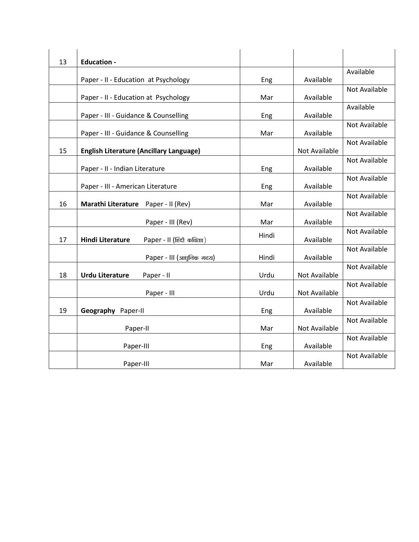| 13 | <b>Education -</b>                                   |       |                      |                      |
|----|------------------------------------------------------|-------|----------------------|----------------------|
|    |                                                      |       |                      | Available            |
|    | Paper - II - Education at Psychology                 | Eng   | Available            | Not Available        |
|    | Paper - II - Education at Psychology                 | Mar   | Available            |                      |
|    | Paper - III - Guidance & Counselling                 | Eng   | Available            | Available            |
|    | Paper - III - Guidance & Counselling                 | Mar   | Available            | Not Available        |
| 15 | <b>English Literature (Ancillary Language)</b>       |       | Not Available        | <b>Not Available</b> |
|    | Paper - II - Indian Literature                       | Eng   | Available            | Not Available        |
|    | Paper - III - American Literature                    | Eng   | Available            | Not Available        |
| 16 | Marathi Literature Paper - II (Rev)                  | Mar   | Available            | Not Available        |
|    | Paper - III (Rev)                                    | Mar   | Available            | Not Available        |
| 17 | <b>Hindi Literature</b><br>Paper - II (हिंदी कविताा) | Hindi | Available            | Not Available        |
|    | Paper - III (आधुनिक गदय)                             | Hindi | Available            | Not Available        |
| 18 | <b>Urdu Literature</b><br>Paper - II                 | Urdu  | Not Available        | Not Available        |
|    | Paper - III                                          | Urdu  | <b>Not Available</b> | Not Available        |
| 19 | Geography Paper-II                                   | Eng   | Available            | Not Available        |
|    | Paper-II                                             | Mar   | <b>Not Available</b> | Not Available        |
|    | Paper-III                                            | Eng   | Available            | Not Available        |
|    | Paper-III                                            | Mar   | Available            | <b>Not Available</b> |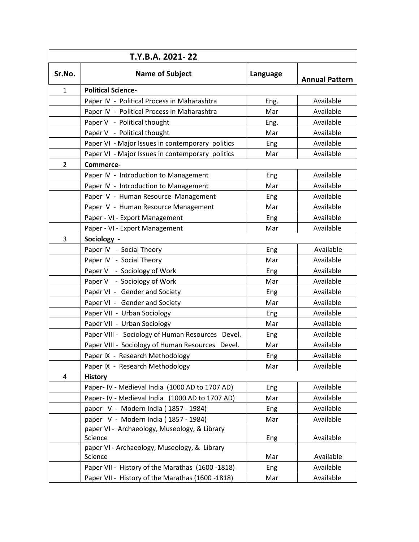|                | T.Y.B.A. 2021-22                                 |          |                       |  |  |
|----------------|--------------------------------------------------|----------|-----------------------|--|--|
| Sr.No.         | <b>Name of Subject</b>                           | Language | <b>Annual Pattern</b> |  |  |
| 1              | <b>Political Science-</b>                        |          |                       |  |  |
|                | Paper IV - Political Process in Maharashtra      | Eng.     | Available             |  |  |
|                | Paper IV - Political Process in Maharashtra      | Mar      | Available             |  |  |
|                | Paper V - Political thought                      | Eng.     | Available             |  |  |
|                | Paper V - Political thought                      | Mar      | Available             |  |  |
|                | Paper VI - Major Issues in contemporary politics | Eng      | Available             |  |  |
|                | Paper VI - Major Issues in contemporary politics | Mar      | Available             |  |  |
| $\overline{2}$ | Commerce-                                        |          |                       |  |  |
|                | Paper IV - Introduction to Management            | Eng      | Available             |  |  |
|                | Paper IV - Introduction to Management            | Mar      | Available             |  |  |
|                | Paper V - Human Resource Management              | Eng      | Available             |  |  |
|                | Paper V - Human Resource Management              | Mar      | Available             |  |  |
|                | Paper - VI - Export Management                   | Eng      | Available             |  |  |
|                | Paper - VI - Export Management                   | Mar      | Available             |  |  |
| 3              | Sociology -                                      |          |                       |  |  |
|                | Paper IV - Social Theory                         | Eng      | Available             |  |  |
|                | Paper IV - Social Theory                         | Mar      | Available             |  |  |
|                | Paper V - Sociology of Work                      | Eng      | Available             |  |  |
|                | Paper V - Sociology of Work                      | Mar      | Available             |  |  |
|                | Paper VI - Gender and Society                    | Eng      | Available             |  |  |
|                | Paper VI - Gender and Society                    | Mar      | Available             |  |  |
|                | Paper VII - Urban Sociology                      | Eng      | Available             |  |  |
|                | Paper VII - Urban Sociology                      | Mar      | Available             |  |  |
|                | Paper VIII - Sociology of Human Resources Devel. | Eng      | Available             |  |  |
|                | Paper VIII - Sociology of Human Resources Devel. | Mar      | Available             |  |  |
|                | Paper IX - Research Methodology                  | Eng      | Available             |  |  |
|                | Paper IX - Research Methodology                  | Mar      | Available             |  |  |
| 4              | <b>History</b>                                   |          |                       |  |  |
|                | Paper- IV - Medieval India (1000 AD to 1707 AD)  | Eng      | Available             |  |  |
|                | Paper- IV - Medieval India (1000 AD to 1707 AD)  | Mar      | Available             |  |  |
|                | paper V - Modern India (1857 - 1984)             | Eng      | Available             |  |  |
|                | paper V - Modern India (1857 - 1984)             | Mar      | Available             |  |  |
|                | paper VI - Archaeology, Museology, & Library     |          |                       |  |  |
|                | Science                                          | Eng      | Available             |  |  |
|                | paper VI - Archaeology, Museology, & Library     |          |                       |  |  |
|                | Science                                          | Mar      | Available             |  |  |
|                | Paper VII - History of the Marathas (1600-1818)  | Eng      | Available             |  |  |
|                | Paper VII - History of the Marathas (1600 -1818) | Mar      | Available             |  |  |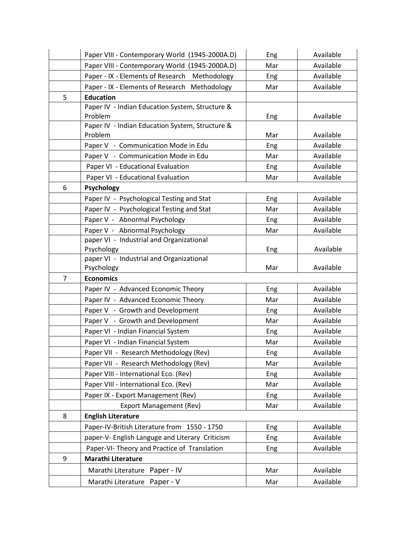|                | Paper VIII - Contemporary World (1945-2000A.D)                            | Eng | Available |
|----------------|---------------------------------------------------------------------------|-----|-----------|
|                | Paper VIII - Contemporary World (1945-2000A.D)                            | Mar | Available |
|                | Paper - IX - Elements of Research<br>Methodology                          | Eng | Available |
|                | Paper - IX - Elements of Research<br>Methodology                          | Mar | Available |
| 5              | <b>Education</b>                                                          |     |           |
|                | Paper IV - Indian Education System, Structure &                           |     |           |
|                | Problem                                                                   | Eng | Available |
|                | Paper IV - Indian Education System, Structure &                           |     |           |
|                | Problem                                                                   | Mar | Available |
|                | Paper V - Communication Mode in Edu                                       | Eng | Available |
|                | Paper V - Communication Mode in Edu                                       | Mar | Available |
|                | Paper VI - Educational Evaluation                                         | Eng | Available |
|                | Paper VI - Educational Evaluation                                         | Mar | Available |
| 6              | Psychology                                                                |     |           |
|                | Paper IV - Psychological Testing and Stat                                 | Eng | Available |
|                | Paper IV - Psychological Testing and Stat                                 | Mar | Available |
|                | Paper V - Abnormal Psychology                                             | Eng | Available |
|                | Paper V - Abnormal Psychology<br>paper VI - Industrial and Organizational | Mar | Available |
|                | Psychology                                                                | Eng | Available |
|                | paper VI - Industrial and Organizational                                  |     |           |
|                | Psychology                                                                | Mar | Available |
| $\overline{7}$ | <b>Economics</b>                                                          |     |           |
|                | Paper IV - Advanced Economic Theory                                       | Eng | Available |
|                | Paper IV - Advanced Economic Theory                                       | Mar | Available |
|                | Paper V - Growth and Development                                          | Eng | Available |
|                | Paper V - Growth and Development                                          | Mar | Available |
|                | Paper VI - Indian Financial System                                        | Eng | Available |
|                | Paper VI - Indian Financial System                                        | Mar | Available |
|                | Paper VII - Research Methodology (Rev)                                    | Eng | Available |
|                | Paper VII - Research Methodology (Rev)                                    | Mar | Available |
|                | Paper VIII - International Eco. (Rev)                                     | Eng | Available |
|                | Paper VIII - International Eco. (Rev)                                     | Mar | Available |
|                | Paper IX - Export Management (Rev)                                        | Eng | Available |
|                | <b>Export Management (Rev)</b>                                            | Mar | Available |
| 8              | <b>English Literature</b>                                                 |     |           |
|                | Paper-IV-British Literature from 1550 - 1750                              | Eng | Available |
|                | paper-V- English Languge and Literary Criticism                           | Eng | Available |
|                | Paper-VI- Theory and Practice of Translation                              | Eng | Available |
| 9              | <b>Marathi Literature</b>                                                 |     |           |
|                | Paper - IV<br>Marathi Literature                                          | Mar | Available |
|                | Paper - V<br>Marathi Literature                                           | Mar | Available |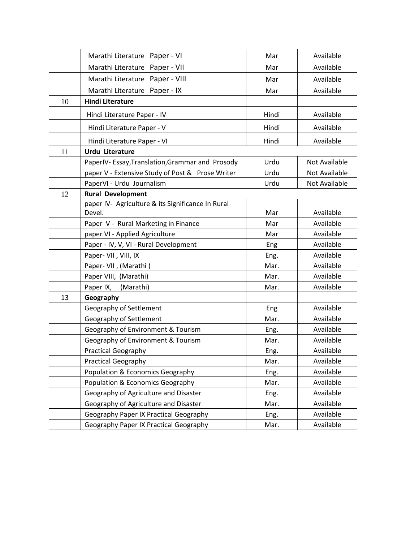|    | Marathi Literature Paper - VI                     | Mar   | Available     |
|----|---------------------------------------------------|-------|---------------|
|    | Marathi Literature Paper - VII                    | Mar   | Available     |
|    | Marathi Literature Paper - VIII                   | Mar   | Available     |
|    | Marathi Literature Paper - IX                     | Mar   | Available     |
| 10 | <b>Hindi Literature</b>                           |       |               |
|    | Hindi Literature Paper - IV                       | Hindi | Available     |
|    | Hindi Literature Paper - V                        | Hindi | Available     |
|    | Hindi Literature Paper - VI                       | Hindi | Available     |
| 11 | <b>Urdu Literature</b>                            |       |               |
|    | PaperIV- Essay, Translation, Grammar and Prosody  | Urdu  | Not Available |
|    | paper V - Extensive Study of Post & Prose Writer  | Urdu  | Not Available |
|    | PaperVI - Urdu Journalism                         | Urdu  | Not Available |
| 12 | <b>Rural Development</b>                          |       |               |
|    | paper IV- Agriculture & its Significance In Rural |       |               |
|    | Devel.                                            | Mar   | Available     |
|    | Paper V - Rural Marketing in Finance              | Mar   | Available     |
|    | paper VI - Applied Agriculture                    | Mar   | Available     |
|    | Paper - IV, V, VI - Rural Development             | Eng   | Available     |
|    | Paper- VII, VIII, IX                              | Eng.  | Available     |
|    | Paper- VII, (Marathi)                             | Mar.  | Available     |
|    | Paper VIII, (Marathi)                             | Mar.  | Available     |
|    | Paper IX,<br>(Marathi)                            | Mar.  | Available     |
| 13 | Geography                                         |       |               |
|    | Geography of Settlement                           | Eng   | Available     |
|    | Geography of Settlement                           | Mar.  | Available     |
|    | Geography of Environment & Tourism                | Eng.  | Available     |
|    | Geography of Environment & Tourism                | Mar.  | Available     |
|    | <b>Practical Geography</b>                        | Eng.  | Available     |
|    | <b>Practical Geography</b>                        | Mar.  | Available     |
|    | Population & Economics Geography                  | Eng.  | Available     |
|    | Population & Economics Geography                  | Mar.  | Available     |
|    | Geography of Agriculture and Disaster             | Eng.  | Available     |
|    | Geography of Agriculture and Disaster             | Mar.  | Available     |
|    | Geography Paper IX Practical Geography            | Eng.  | Available     |
|    | Geography Paper IX Practical Geography            | Mar.  | Available     |
|    |                                                   |       |               |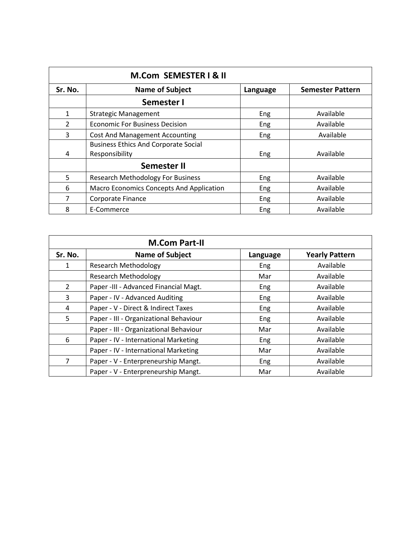|              | M.Com SEMESTER I & II                                         |          |                         |
|--------------|---------------------------------------------------------------|----------|-------------------------|
| Sr. No.      | <b>Name of Subject</b>                                        | Language | <b>Semester Pattern</b> |
|              | Semester I                                                    |          |                         |
| $\mathbf{1}$ | <b>Strategic Management</b>                                   | Eng      | Available               |
| 2            | <b>Economic For Business Decision</b>                         | Eng      | Available               |
| 3            | <b>Cost And Management Accounting</b>                         | Eng      | Available               |
| 4            | <b>Business Ethics And Corporate Social</b><br>Responsibility | Eng      | Available               |
|              | <b>Semester II</b>                                            |          |                         |
| 5            | <b>Research Methodology For Business</b>                      | Eng      | Available               |
| 6            | <b>Macro Economics Concepts And Application</b>               | Eng      | Available               |
| 7            | Corporate Finance                                             | Eng      | Available               |
| 8            | E-Commerce                                                    | Eng      | Available               |

|         | <b>M.Com Part-II</b>                   |          |                       |  |  |  |
|---------|----------------------------------------|----------|-----------------------|--|--|--|
| Sr. No. | <b>Name of Subject</b>                 | Language | <b>Yearly Pattern</b> |  |  |  |
| 1       | <b>Research Methodology</b>            | Eng      | Available             |  |  |  |
|         | <b>Research Methodology</b>            | Mar      | Available             |  |  |  |
| 2       | Paper -III - Advanced Financial Magt.  | Eng      | Available             |  |  |  |
| 3       | Paper - IV - Advanced Auditing         | Eng      | Available             |  |  |  |
| 4       | Paper - V - Direct & Indirect Taxes    | Eng      | Available             |  |  |  |
| 5       | Paper - III - Organizational Behaviour | Eng      | Available             |  |  |  |
|         | Paper - III - Organizational Behaviour | Mar      | Available             |  |  |  |
| 6       | Paper - IV - International Marketing   | Eng      | Available             |  |  |  |
|         | Paper - IV - International Marketing   | Mar      | Available             |  |  |  |
| 7       | Paper - V - Enterpreneurship Mangt.    | Eng      | Available             |  |  |  |
|         | Paper - V - Enterpreneurship Mangt.    | Mar      | Available             |  |  |  |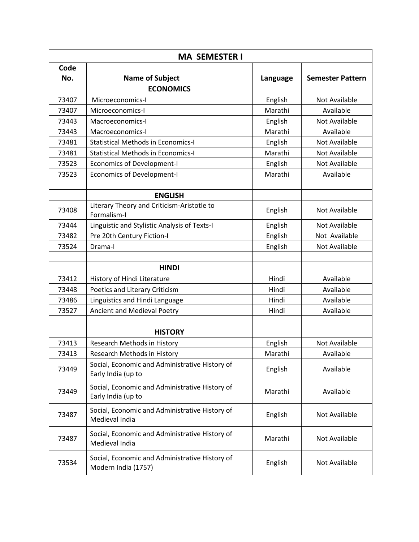| <b>MA SEMESTER I</b> |                                                                       |          |                         |  |
|----------------------|-----------------------------------------------------------------------|----------|-------------------------|--|
| Code<br>No.          | <b>Name of Subject</b>                                                | Language | <b>Semester Pattern</b> |  |
|                      | <b>ECONOMICS</b>                                                      |          |                         |  |
| 73407                | Microeconomics-I                                                      | English  | Not Available           |  |
| 73407                | Microeconomics-I                                                      | Marathi  | Available               |  |
| 73443                | Macroeconomics-I                                                      | English  | Not Available           |  |
| 73443                | Macroeconomics-I                                                      | Marathi  | Available               |  |
| 73481                | <b>Statistical Methods in Economics-I</b>                             | English  | Not Available           |  |
| 73481                | <b>Statistical Methods in Economics-I</b>                             | Marathi  | Not Available           |  |
| 73523                | <b>Economics of Development-I</b>                                     | English  | Not Available           |  |
| 73523                | <b>Economics of Development-I</b>                                     | Marathi  | Available               |  |
|                      |                                                                       |          |                         |  |
|                      | <b>ENGLISH</b>                                                        |          |                         |  |
| 73408                | Literary Theory and Criticism-Aristotle to<br>Formalism-I             | English  | Not Available           |  |
| 73444                | Linguistic and Stylistic Analysis of Texts-I                          | English  | Not Available           |  |
| 73482                | Pre 20th Century Fiction-I                                            | English  | Not Available           |  |
| 73524                | Drama-I                                                               | English  | Not Available           |  |
|                      |                                                                       |          |                         |  |
|                      | <b>HINDI</b>                                                          |          |                         |  |
| 73412                | History of Hindi Literature                                           | Hindi    | Available               |  |
| 73448                | Poetics and Literary Criticism                                        | Hindi    | Available               |  |
| 73486                | Linguistics and Hindi Language                                        | Hindi    | Available               |  |
| 73527                | Ancient and Medieval Poetry                                           | Hindi    | Available               |  |
|                      |                                                                       |          |                         |  |
|                      | <b>HISTORY</b>                                                        |          |                         |  |
| 73413                | Research Methods in History                                           | English  | Not Available           |  |
| 73413                | Research Methods in History                                           | Marathi  | Available               |  |
| 73449                | Social, Economic and Administrative History of<br>Early India (up to  | English  | Available               |  |
| 73449                | Social, Economic and Administrative History of<br>Early India (up to  | Marathi  | Available               |  |
| 73487                | Social, Economic and Administrative History of<br>Medieval India      | English  | Not Available           |  |
| 73487                | Social, Economic and Administrative History of<br>Medieval India      | Marathi  | Not Available           |  |
| 73534                | Social, Economic and Administrative History of<br>Modern India (1757) | English  | Not Available           |  |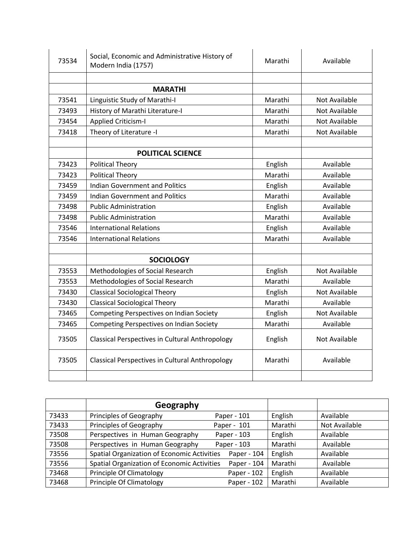| 73534 | Social, Economic and Administrative History of<br>Modern India (1757) | Marathi | Available            |
|-------|-----------------------------------------------------------------------|---------|----------------------|
|       | <b>MARATHI</b>                                                        |         |                      |
| 73541 | Linguistic Study of Marathi-I                                         | Marathi | Not Available        |
| 73493 | History of Marathi Literature-I                                       | Marathi | Not Available        |
| 73454 | <b>Applied Criticism-I</b>                                            | Marathi | Not Available        |
| 73418 | Theory of Literature -I                                               | Marathi | Not Available        |
|       | <b>POLITICAL SCIENCE</b>                                              |         |                      |
| 73423 | <b>Political Theory</b>                                               | English | Available            |
| 73423 | <b>Political Theory</b>                                               | Marathi | Available            |
| 73459 | <b>Indian Government and Politics</b>                                 | English | Available            |
| 73459 | <b>Indian Government and Politics</b>                                 | Marathi | Available            |
| 73498 | <b>Public Administration</b>                                          | English | Available            |
| 73498 | <b>Public Administration</b>                                          | Marathi | Available            |
| 73546 | <b>International Relations</b>                                        | English | Available            |
| 73546 | <b>International Relations</b>                                        | Marathi | Available            |
|       | <b>SOCIOLOGY</b>                                                      |         |                      |
| 73553 | Methodologies of Social Research                                      | English | Not Available        |
| 73553 | Methodologies of Social Research                                      | Marathi | Available            |
| 73430 | <b>Classical Sociological Theory</b>                                  | English | Not Available        |
| 73430 | <b>Classical Sociological Theory</b>                                  | Marathi | Available            |
| 73465 | Competing Perspectives on Indian Society                              | English | <b>Not Available</b> |
| 73465 | Competing Perspectives on Indian Society                              | Marathi | Available            |
| 73505 | Classical Perspectives in Cultural Anthropology                       | English | Not Available        |
| 73505 | <b>Classical Perspectives in Cultural Anthropology</b>                | Marathi | Available            |

|       | Geography                                   |             |         |               |
|-------|---------------------------------------------|-------------|---------|---------------|
| 73433 | Principles of Geography                     | Paper - 101 | English | Available     |
| 73433 | Principles of Geography                     | Paper - 101 | Marathi | Not Available |
| 73508 | Perspectives in Human Geography             | Paper - 103 | English | Available     |
| 73508 | Perspectives in Human Geography             | Paper - 103 | Marathi | Available     |
| 73556 | Spatial Organization of Economic Activities | Paper - 104 | English | Available     |
| 73556 | Spatial Organization of Economic Activities | Paper - 104 | Marathi | Available     |
| 73468 | <b>Principle Of Climatology</b>             | Paper - 102 | English | Available     |
| 73468 | <b>Principle Of Climatology</b>             | Paper - 102 | Marathi | Available     |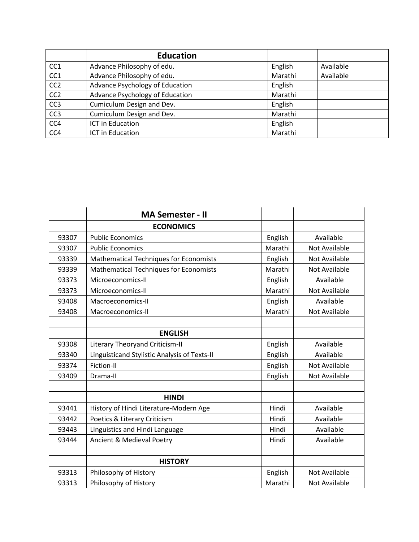|                 | <b>Education</b>                |         |           |
|-----------------|---------------------------------|---------|-----------|
| CC <sub>1</sub> | Advance Philosophy of edu.      | English | Available |
| CC <sub>1</sub> | Advance Philosophy of edu.      | Marathi | Available |
| CC <sub>2</sub> | Advance Psychology of Education | English |           |
| CC <sub>2</sub> | Advance Psychology of Education | Marathi |           |
| CC <sub>3</sub> | Cumiculum Design and Dev.       | English |           |
| CC <sub>3</sub> | Cumiculum Design and Dev.       | Marathi |           |
| CC4             | ICT in Education                | English |           |
| CC4             | ICT in Education                | Marathi |           |

|       | <b>MA Semester - II</b>                       |         |                      |
|-------|-----------------------------------------------|---------|----------------------|
|       | <b>ECONOMICS</b>                              |         |                      |
| 93307 | <b>Public Economics</b>                       | English | Available            |
| 93307 | <b>Public Economics</b>                       | Marathi | <b>Not Available</b> |
| 93339 | <b>Mathematical Techniques for Economists</b> | English | <b>Not Available</b> |
| 93339 | <b>Mathematical Techniques for Economists</b> | Marathi | <b>Not Available</b> |
| 93373 | Microeconomics-II                             | English | Available            |
| 93373 | Microeconomics-II                             | Marathi | <b>Not Available</b> |
| 93408 | Macroeconomics-II                             | English | Available            |
| 93408 | Macroeconomics-II                             | Marathi | <b>Not Available</b> |
|       |                                               |         |                      |
|       | <b>ENGLISH</b>                                |         |                      |
| 93308 | Literary Theoryand Criticism-II               | English | Available            |
| 93340 | Linguisticand Stylistic Analysis of Texts-II  | English | Available            |
| 93374 | Fiction-II                                    | English | <b>Not Available</b> |
| 93409 | Drama-II                                      | English | <b>Not Available</b> |
|       |                                               |         |                      |
|       | <b>HINDI</b>                                  |         |                      |
| 93441 | History of Hindi Literature-Modern Age        | Hindi   | Available            |
| 93442 | Poetics & Literary Criticism                  | Hindi   | Available            |
| 93443 | Linguistics and Hindi Language                | Hindi   | Available            |
| 93444 | Ancient & Medieval Poetry                     | Hindi   | Available            |
|       |                                               |         |                      |
|       | <b>HISTORY</b>                                |         |                      |
| 93313 | Philosophy of History                         | English | <b>Not Available</b> |
| 93313 | Philosophy of History                         | Marathi | Not Available        |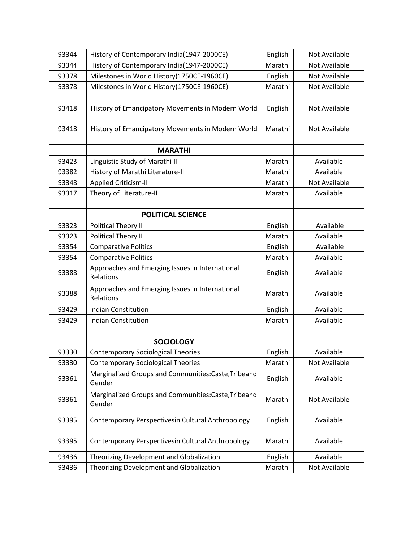| 93344 | History of Contemporary India(1947-2000CE)<br>English                   |                      | Not Available        |
|-------|-------------------------------------------------------------------------|----------------------|----------------------|
| 93344 | History of Contemporary India(1947-2000CE)                              | Marathi              | <b>Not Available</b> |
| 93378 | Milestones in World History(1750CE-1960CE)                              | English              | Not Available        |
| 93378 | Milestones in World History(1750CE-1960CE)                              | Marathi              | Not Available        |
|       |                                                                         |                      |                      |
| 93418 | History of Emancipatory Movements in Modern World                       | English              | Not Available        |
| 93418 | History of Emancipatory Movements in Modern World                       | Marathi              | Not Available        |
|       | <b>MARATHI</b>                                                          |                      |                      |
| 93423 | Linguistic Study of Marathi-II                                          | Marathi              | Available            |
| 93382 | History of Marathi Literature-II                                        | Marathi              | Available            |
| 93348 | <b>Applied Criticism-II</b>                                             | Marathi              | Not Available        |
| 93317 | Theory of Literature-II                                                 | Marathi              | Available            |
|       |                                                                         |                      |                      |
|       | <b>POLITICAL SCIENCE</b>                                                |                      |                      |
| 93323 | <b>Political Theory II</b>                                              | English              | Available            |
| 93323 | Political Theory II                                                     | Marathi              | Available            |
| 93354 | <b>Comparative Politics</b>                                             | English              | Available            |
| 93354 | <b>Comparative Politics</b>                                             | Marathi              | Available            |
| 93388 | Approaches and Emerging Issues in International<br>Relations            | English              | Available            |
| 93388 | Approaches and Emerging Issues in International<br>Relations            | Marathi<br>Available |                      |
| 93429 | <b>Indian Constitution</b>                                              | English              | Available            |
| 93429 | <b>Indian Constitution</b>                                              | Marathi              | Available            |
|       |                                                                         |                      |                      |
|       | <b>SOCIOLOGY</b>                                                        |                      |                      |
| 93330 | <b>Contemporary Sociological Theories</b>                               | English              | Available            |
| 93330 | <b>Contemporary Sociological Theories</b>                               | Marathi              | Not Available        |
| 93361 | Marginalized Groups and Communities:Caste,Tribeand<br>English<br>Gender |                      | Available            |
| 93361 | Marginalized Groups and Communities:Caste,Tribeand<br>Gender            | Marathi              | Not Available        |
| 93395 | Contemporary Perspectivesin Cultural Anthropology                       | English              | Available            |
| 93395 | Contemporary Perspectivesin Cultural Anthropology                       | Marathi              | Available            |
| 93436 | Theorizing Development and Globalization                                | English              | Available            |
| 93436 | Theorizing Development and Globalization                                | Marathi              | Not Available        |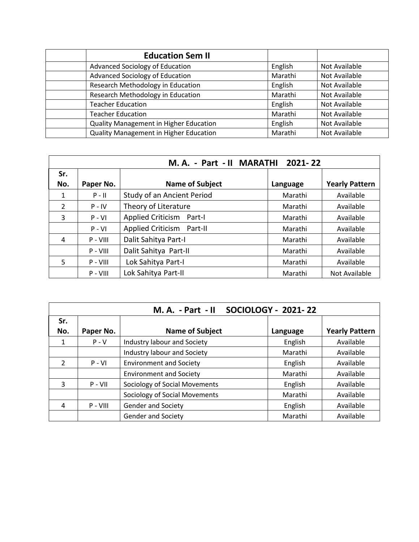| <b>Education Sem II</b>                |         |               |
|----------------------------------------|---------|---------------|
| Advanced Sociology of Education        | English | Not Available |
| Advanced Sociology of Education        | Marathi | Not Available |
| Research Methodology in Education      | English | Not Available |
| Research Methodology in Education      | Marathi | Not Available |
| <b>Teacher Education</b>               | English | Not Available |
| <b>Teacher Education</b>               | Marathi | Not Available |
| Quality Management in Higher Education | English | Not Available |
| Quality Management in Higher Education | Marathi | Not Available |

|                | 2021-22<br>M.A. - Part - II MARATHI |                             |          |                       |  |
|----------------|-------------------------------------|-----------------------------|----------|-----------------------|--|
| Sr.            |                                     |                             |          |                       |  |
| No.            | Paper No.                           | <b>Name of Subject</b>      | Language | <b>Yearly Pattern</b> |  |
| 1              | $P - II$                            | Study of an Ancient Period  | Marathi  | Available             |  |
| $\overline{2}$ | $P - IV$                            | Theory of Literature        | Marathi  | Available             |  |
| 3              | $P - VI$                            | Applied Criticism<br>Part-I | Marathi  | Available             |  |
|                | $P - VI$                            | Applied Criticism Part-II   | Marathi  | Available             |  |
| 4              | $P - VIII$                          | Dalit Sahitya Part-I        | Marathi  | Available             |  |
|                | $P - VIII$                          | Dalit Sahitya Part-II       | Marathi  | Available             |  |
| 5              | $P - VIII$                          | Lok Sahitya Part-I          | Marathi  | Available             |  |
|                | $P - VIII$                          | Lok Sahitya Part-II         | Marathi  | Not Available         |  |

|                | <b>SOCIOLOGY - 2021-22</b><br>$M. A. - Part - II$ |                                      |          |                       |  |  |
|----------------|---------------------------------------------------|--------------------------------------|----------|-----------------------|--|--|
| Sr.            |                                                   |                                      |          |                       |  |  |
| No.            | Paper No.                                         | <b>Name of Subject</b>               | Language | <b>Yearly Pattern</b> |  |  |
| 1              | $P - V$                                           | Industry labour and Society          | English  | Available             |  |  |
|                |                                                   | Industry labour and Society          | Marathi  | Available             |  |  |
| $\overline{2}$ | $P - VI$                                          | <b>Environment and Society</b>       | English  | Available             |  |  |
|                |                                                   | <b>Environment and Society</b>       | Marathi  | Available             |  |  |
| 3              | $P - VII$                                         | Sociology of Social Movements        | English  | Available             |  |  |
|                |                                                   | <b>Sociology of Social Movements</b> | Marathi  | Available             |  |  |
| 4              | $P - VIII$                                        | <b>Gender and Society</b>            | English  | Available             |  |  |
|                |                                                   | <b>Gender and Society</b>            | Marathi  | Available             |  |  |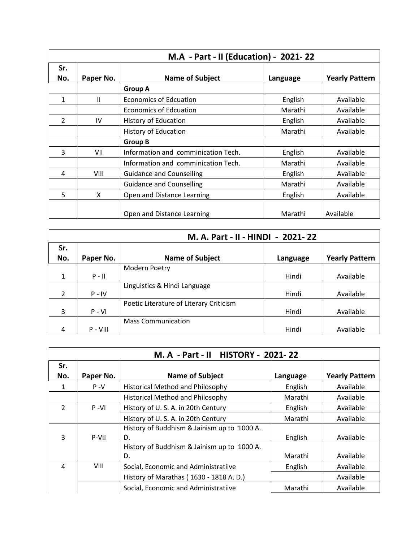|                | M.A - Part - II (Education) - 2021-22 |                                     |          |                       |  |
|----------------|---------------------------------------|-------------------------------------|----------|-----------------------|--|
| Sr.<br>No.     | Paper No.                             | <b>Name of Subject</b>              | Language | <b>Yearly Pattern</b> |  |
|                |                                       | <b>Group A</b>                      |          |                       |  |
| $\mathbf{1}$   | Ш                                     | <b>Economics of Edcuation</b>       | English  | Available             |  |
|                |                                       | <b>Economics of Edcuation</b>       | Marathi  | Available             |  |
| $\overline{2}$ | IV                                    | History of Education                | English  | Available             |  |
|                |                                       | <b>History of Education</b>         | Marathi  | Available             |  |
|                |                                       | <b>Group B</b>                      |          |                       |  |
| 3              | VII                                   | Information and comminication Tech. | English  | Available             |  |
|                |                                       | Information and comminication Tech. | Marathi  | Available             |  |
| 4              | VIII                                  | <b>Guidance and Counselling</b>     | English  | Available             |  |
|                |                                       | <b>Guidance and Counselling</b>     | Marathi  | Available             |  |
| 5              | X                                     | Open and Distance Learning          | English  | Available             |  |
|                |                                       | Open and Distance Learning          | Marathi  | Available             |  |

|                | M. A. Part - II - HINDI - 2021-22 |                                         |          |                       |  |  |
|----------------|-----------------------------------|-----------------------------------------|----------|-----------------------|--|--|
| Sr.            |                                   |                                         |          |                       |  |  |
| No.            | Paper No.                         | <b>Name of Subject</b>                  | Language | <b>Yearly Pattern</b> |  |  |
|                |                                   | Modern Poetry                           |          |                       |  |  |
| $\mathbf{1}$   | $P - II$                          |                                         | Hindi    | Available             |  |  |
|                |                                   | Linguistics & Hindi Language            |          |                       |  |  |
| $\mathfrak{p}$ | $P - IV$                          |                                         | Hindi    | Available             |  |  |
|                |                                   | Poetic Literature of Literary Criticism |          |                       |  |  |
| 3              | $P - VI$                          |                                         | Hindi    | Available             |  |  |
|                |                                   | <b>Mass Communication</b>               |          |                       |  |  |
| 4              | $P - VIII$                        |                                         | Hindi    | Available             |  |  |

| M. A - Part - II HISTORY - 2021-22 |           |                                             |          |                       |
|------------------------------------|-----------|---------------------------------------------|----------|-----------------------|
| Sr.                                |           |                                             |          |                       |
| No.                                | Paper No. | <b>Name of Subject</b>                      | Language | <b>Yearly Pattern</b> |
| 1                                  | $P - V$   | <b>Historical Method and Philosophy</b>     | English  | Available             |
|                                    |           | <b>Historical Method and Philosophy</b>     | Marathi  | Available             |
| $\overline{2}$                     | $P - VI$  | History of U.S. A. in 20th Century          | English  | Available             |
|                                    |           | History of U.S.A. in 20th Century           | Marathi  | Available             |
|                                    |           | History of Buddhism & Jainism up to 1000 A. |          |                       |
| 3                                  | P-VII     | D.                                          | English  | Available             |
|                                    |           | History of Buddhism & Jainism up to 1000 A. |          |                       |
|                                    |           | D.                                          | Marathi  | Available             |
| 4                                  | VIII      | Social, Economic and Administratiive        | English  | Available             |
|                                    |           | History of Marathas (1630 - 1818 A.D.)      |          | Available             |
|                                    |           | Social, Economic and Administratiive        | Marathi  | Available             |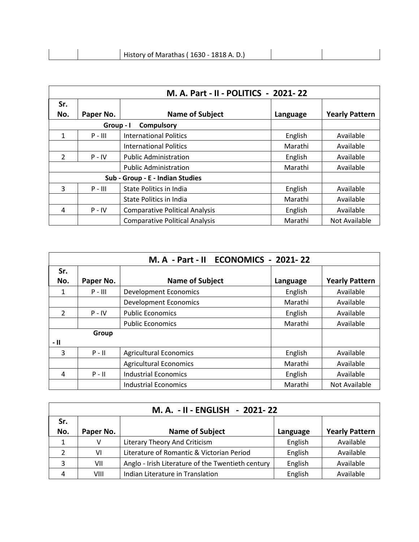|  | History of Marathas (1630 - 1818 A.D.) |  |
|--|----------------------------------------|--|
|  |                                        |  |

|                                  | M. A. Part - II - POLITICS - 2021-22 |                                       |          |                       |  |
|----------------------------------|--------------------------------------|---------------------------------------|----------|-----------------------|--|
| Sr.                              |                                      |                                       |          |                       |  |
| No.                              | Paper No.                            | <b>Name of Subject</b>                | Language | <b>Yearly Pattern</b> |  |
|                                  | Group - I                            | <b>Compulsory</b>                     |          |                       |  |
| $\mathbf{1}$                     | $P - III$                            | <b>International Politics</b>         | English  | Available             |  |
|                                  |                                      | <b>International Politics</b>         | Marathi  | Available             |  |
| $\overline{2}$                   | $P - IV$                             | <b>Public Administration</b>          | English  | Available             |  |
|                                  |                                      | <b>Public Administration</b>          | Marathi  | Available             |  |
| Sub - Group - E - Indian Studies |                                      |                                       |          |                       |  |
| 3                                | $P - III$                            | State Politics in India               | English  | Available             |  |
|                                  |                                      | State Politics in India               | Marathi  | Available             |  |
| 4                                | $P - IV$                             | <b>Comparative Political Analysis</b> | English  | Available             |  |
|                                  |                                      | <b>Comparative Political Analysis</b> | Marathi  | Not Available         |  |

|                |           | M. A - Part - II ECONOMICS - 2021-22 |          |                       |
|----------------|-----------|--------------------------------------|----------|-----------------------|
| Sr.            |           |                                      |          |                       |
| No.            | Paper No. | <b>Name of Subject</b>               | Language | <b>Yearly Pattern</b> |
| 1              | $P - III$ | <b>Development Economics</b>         | English  | Available             |
|                |           | <b>Development Economics</b>         | Marathi  | Available             |
| $\overline{2}$ | $P - IV$  | <b>Public Economics</b>              | English  | Available             |
|                |           | <b>Public Economics</b>              | Marathi  | Available             |
|                | Group     |                                      |          |                       |
| - 11           |           |                                      |          |                       |
| 3              | $P - II$  | <b>Agricultural Economics</b>        | English  | Available             |
|                |           | <b>Agricultural Economics</b>        | Marathi  | Available             |
| 4              | $P - II$  | <b>Industrial Economics</b>          | English  | Available             |
|                |           | <b>Industrial Economics</b>          | Marathi  | Not Available         |

| M. A. - II - ENGLISH - 2021-22 |           |                                                   |          |                       |  |
|--------------------------------|-----------|---------------------------------------------------|----------|-----------------------|--|
| Sr.<br>No.                     | Paper No. | <b>Name of Subject</b>                            | Language | <b>Yearly Pattern</b> |  |
| 1                              | v         | Literary Theory And Criticism                     | English  | Available             |  |
| າ                              | VI        | Literature of Romantic & Victorian Period         | English  | Available             |  |
| 3                              | VII       | Anglo - Irish Literature of the Twentieth century | English  | Available             |  |
|                                | VIII      | Indian Literature in Translation                  | English  | Available             |  |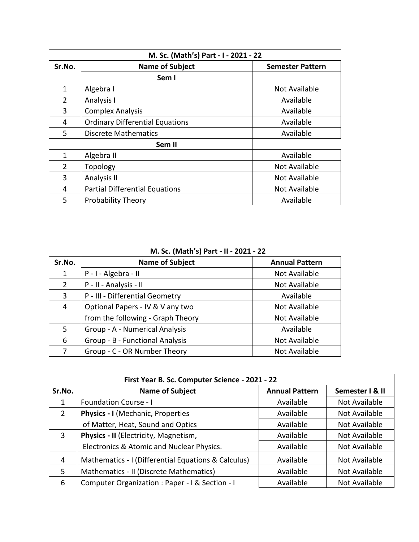|                | M. Sc. (Math's) Part - I - 2021 - 22   |                         |  |  |  |
|----------------|----------------------------------------|-------------------------|--|--|--|
| Sr.No.         | <b>Name of Subject</b>                 | <b>Semester Pattern</b> |  |  |  |
|                | Sem I                                  |                         |  |  |  |
| $\mathbf{1}$   | Algebra I                              | Not Available           |  |  |  |
| $\overline{2}$ | Analysis I                             | Available               |  |  |  |
| 3              | <b>Complex Analysis</b>                | Available               |  |  |  |
| 4              | <b>Ordinary Differential Equations</b> | Available               |  |  |  |
| 5              | <b>Discrete Mathematics</b>            | Available               |  |  |  |
|                | Sem II                                 |                         |  |  |  |
| 1              | Algebra II                             | Available               |  |  |  |
| $\overline{2}$ | Topology                               | Not Available           |  |  |  |
| 3              | <b>Analysis II</b>                     | Not Available           |  |  |  |
| 4              | <b>Partial Differential Equations</b>  | Not Available           |  |  |  |
| 5              | <b>Probability Theory</b>              | Available               |  |  |  |

 **M. Sc. (Math's) Part - II - 2021 - 22**

| Sr.No.         | <b>Name of Subject</b>            | <b>Annual Pattern</b> |
|----------------|-----------------------------------|-----------------------|
| 1              | P - I - Algebra - II              | Not Available         |
| $\overline{2}$ | P - II - Analysis - II            | Not Available         |
| 3              | P - III - Differential Geometry   | Available             |
| 4              | Optional Papers - IV & V any two  | Not Available         |
|                | from the following - Graph Theory | Not Available         |
| 5.             | Group - A - Numerical Analysis    | Available             |
| 6              | Group - B - Functional Analysis   | Not Available         |
| 7              | Group - C - OR Number Theory      | Not Available         |

| First Year B. Sc. Computer Science - 2021 - 22 |                                                     |                       |                 |
|------------------------------------------------|-----------------------------------------------------|-----------------------|-----------------|
| Sr.No.                                         | <b>Name of Subject</b>                              | <b>Annual Pattern</b> | Semester I & II |
| 1                                              | <b>Foundation Course - I</b>                        | Available             | Not Available   |
| 2                                              | Physics - I (Mechanic, Properties                   | Available             | Not Available   |
|                                                | of Matter, Heat, Sound and Optics                   | Available             | Not Available   |
| 3                                              | Physics - II (Electricity, Magnetism,               | Available             | Not Available   |
|                                                | Electronics & Atomic and Nuclear Physics.           | Available             | Not Available   |
| 4                                              | Mathematics - I (Differential Equations & Calculus) | Available             | Not Available   |
| 5                                              | Mathematics - II (Discrete Mathematics)             | Available             | Not Available   |
| 6                                              | Computer Organization : Paper - I & Section - I     | Available             | Not Available   |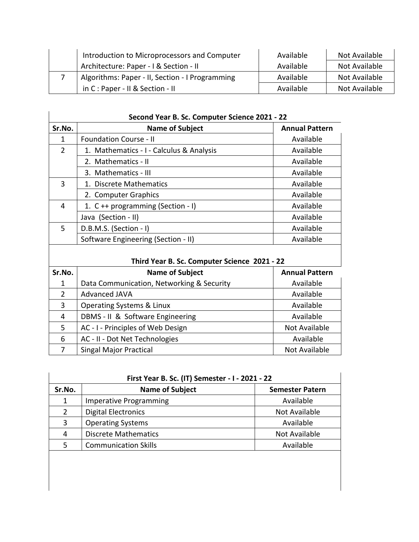| Introduction to Microprocessors and Computer |                                                 | Available | Not Available |
|----------------------------------------------|-------------------------------------------------|-----------|---------------|
|                                              | Architecture: Paper - I & Section - II          | Available | Not Available |
|                                              | Algorithms: Paper - II, Section - I Programming | Available | Not Available |
|                                              | in C: Paper - II & Section - II                 | Available | Not Available |

| Sr.No.         | <b>Name of Subject</b>                       | <b>Annual Pattern</b> |
|----------------|----------------------------------------------|-----------------------|
| 1              | <b>Foundation Course - II</b>                | Available             |
| $\overline{2}$ | 1. Mathematics - I - Calculus & Analysis     | Available             |
|                | 2. Mathematics - II                          | Available             |
|                | 3. Mathematics - III                         | Available             |
| 3              | 1. Discrete Mathematics                      | Available             |
|                | 2. Computer Graphics                         | Available             |
| 4              | 1. C ++ programming (Section - I)            | Available             |
|                | Java (Section - II)                          | Available             |
| 5              | D.B.M.S. (Section - I)                       | Available             |
|                | Software Engineering (Section - II)          | Available             |
| Sr.No.         | Third Year B. Sc. Computer Science 2021 - 22 | <b>Annual Pattern</b> |
|                | <b>Name of Subject</b>                       |                       |
| $\mathbf{1}$   | Data Communication, Networking & Security    | Available             |
| $\overline{2}$ | <b>Advanced JAVA</b>                         | Available             |
| 3              | Operating Systems & Linux                    | Available             |
| 4              | DBMS - II & Software Engineering             | Available             |
| 5              | AC - I - Principles of Web Design            | <b>Not Available</b>  |
| 6              | AC - II - Dot Net Technologies               | Available             |

| Sr.No.         | <b>Name of Subject</b>        | <b>Semester Patern</b> |
|----------------|-------------------------------|------------------------|
| 1              | <b>Imperative Programming</b> | Available              |
| $\overline{2}$ | <b>Digital Electronics</b>    | Not Available          |
| 3              | <b>Operating Systems</b>      | Available              |
| 4              | <b>Discrete Mathematics</b>   | Not Available          |
| 5              | <b>Communication Skills</b>   | Available              |

7 Singal Major Practical Not Available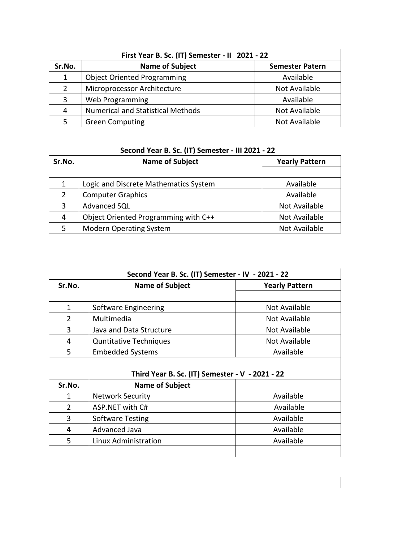| First Year B. Sc. (IT) Semester - II 2021 - 22 |                                          |                        |  |  |
|------------------------------------------------|------------------------------------------|------------------------|--|--|
| Sr.No.                                         | <b>Name of Subject</b>                   | <b>Semester Patern</b> |  |  |
| 1                                              | <b>Object Oriented Programming</b>       | Available              |  |  |
| $\overline{2}$                                 | Microprocessor Architecture              | Not Available          |  |  |
| 3                                              | Web Programming                          | Available              |  |  |
| 4                                              | <b>Numerical and Statistical Methods</b> | Not Available          |  |  |
| 5                                              | <b>Green Computing</b>                   | Not Available          |  |  |

## **Second Year B. Sc. (IT) Semester - III 2021 - 22**

| Sr.No. | <b>Name of Subject</b>                | <b>Yearly Pattern</b> |  |
|--------|---------------------------------------|-----------------------|--|
|        |                                       |                       |  |
| 1      | Logic and Discrete Mathematics System | Available             |  |
| 2      | <b>Computer Graphics</b>              | Available             |  |
| 3      | Advanced SQL                          | Not Available         |  |
| 4      | Object Oriented Programming with C++  | Not Available         |  |
| 5.     | <b>Modern Operating System</b>        | Not Available         |  |

|               | Second Year B. Sc. (IT) Semester - IV - 2021 - 22 |                       |  |
|---------------|---------------------------------------------------|-----------------------|--|
| Sr.No.        | <b>Name of Subject</b>                            | <b>Yearly Pattern</b> |  |
|               |                                                   |                       |  |
| 1             | Software Engineering                              | Not Available         |  |
| $\mathcal{P}$ | Multimedia                                        | Not Available         |  |
| 3             | Java and Data Structure                           | Not Available         |  |
| 4             | <b>Quntitative Techniques</b>                     | Not Available         |  |
| 5             | <b>Embedded Systems</b>                           | Available             |  |

## **Third Year B. Sc. (IT) Semester - V - 2021 - 22**

| Sr.No.      | <b>Name of Subject</b>  |           |
|-------------|-------------------------|-----------|
| $\mathbf 1$ | <b>Network Security</b> | Available |
| 2           | ASP.NET with C#         | Available |
| 3           | <b>Software Testing</b> | Available |
| 4           | Advanced Java           | Available |
| 5           | Linux Administration    | Available |
|             |                         |           |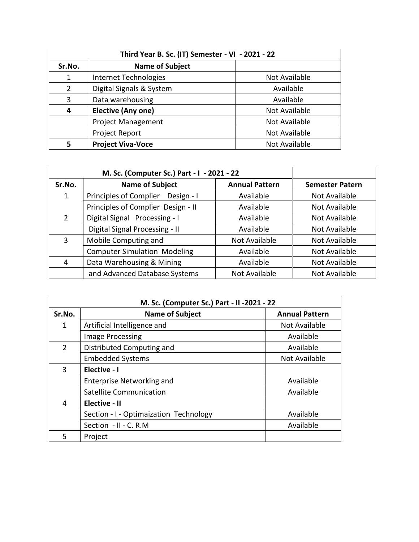| Third Year B. Sc. (IT) Semester - VI - 2021 - 22 |                           |               |  |
|--------------------------------------------------|---------------------------|---------------|--|
| Sr.No.                                           | <b>Name of Subject</b>    |               |  |
| 1                                                | Internet Technologies     | Not Available |  |
| $\mathcal{P}$                                    | Digital Signals & System  | Available     |  |
| 3                                                | Data warehousing          | Available     |  |
| 4                                                | <b>Elective (Any one)</b> | Not Available |  |
|                                                  | <b>Project Management</b> | Not Available |  |
|                                                  | Project Report            | Not Available |  |
|                                                  | <b>Project Viva-Voce</b>  | Not Available |  |

|               | M. Sc. (Computer Sc.) Part - I - 2021 - 22 |                       |                        |
|---------------|--------------------------------------------|-----------------------|------------------------|
| Sr.No.        | <b>Name of Subject</b>                     | <b>Annual Pattern</b> | <b>Semester Patern</b> |
| 1             | Principles of Complier Design - I          | Available             | Not Available          |
|               | Principles of Complier Design - II         | Available             | Not Available          |
| $\mathcal{P}$ | Digital Signal Processing - I              | Available             | Not Available          |
|               | Digital Signal Processing - II             | Available             | Not Available          |
| 3             | Mobile Computing and                       | Not Available         | Not Available          |
|               | <b>Computer Simulation Modeling</b>        | Available             | Not Available          |
| 4             | Data Warehousing & Mining                  | Available             | Not Available          |
|               | and Advanced Database Systems              | Not Available         | Not Available          |

| Sr.No. | <b>Name of Subject</b>                 | <b>Annual Pattern</b> |
|--------|----------------------------------------|-----------------------|
| 1      | Artificial Intelligence and            | Not Available         |
|        | Image Processing                       | Available             |
| 2      | Distributed Computing and              | Available             |
|        | <b>Embedded Systems</b>                | Not Available         |
| 3      | Elective - I                           |                       |
|        | <b>Enterprise Networking and</b>       | Available             |
|        | Satellite Communication                | Available             |
| 4      | Elective - II                          |                       |
|        | Section - I - Optimaization Technology | Available             |
|        | Section - II - C. R.M                  | Available             |
| 5      | Project                                |                       |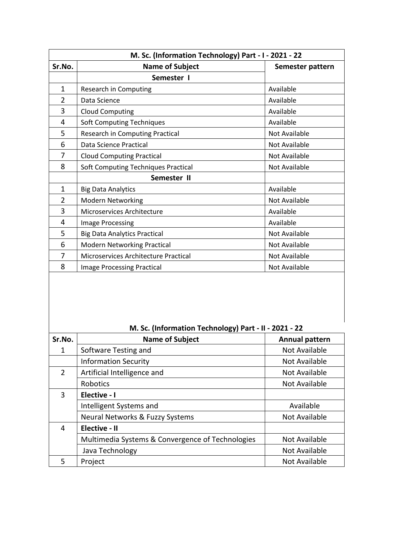| M. Sc. (Information Technology) Part - I - 2021 - 22 |                                            |                      |  |
|------------------------------------------------------|--------------------------------------------|----------------------|--|
| Sr.No.                                               | <b>Name of Subject</b><br>Semester pattern |                      |  |
|                                                      | Semester I                                 |                      |  |
| $\mathbf{1}$                                         | Research in Computing                      | Available            |  |
| $\overline{2}$                                       | Data Science                               | Available            |  |
| 3                                                    | <b>Cloud Computing</b>                     | Available            |  |
| 4                                                    | <b>Soft Computing Techniques</b>           | Available            |  |
| 5                                                    | Research in Computing Practical            | <b>Not Available</b> |  |
| 6                                                    | Data Science Practical                     | Not Available        |  |
| 7                                                    | <b>Cloud Computing Practical</b>           | Not Available        |  |
| 8                                                    | Soft Computing Techniques Practical        | Not Available        |  |
|                                                      | Semester II                                |                      |  |
| $\mathbf{1}$                                         | <b>Big Data Analytics</b>                  | Available            |  |
| $\overline{2}$                                       | Modern Networking                          | Not Available        |  |
| 3                                                    | Microservices Architecture                 | Available            |  |
| 4                                                    | <b>Image Processing</b>                    | Available            |  |
| 5                                                    | <b>Big Data Analytics Practical</b>        | Not Available        |  |
| 6                                                    | Modern Networking Practical                | Not Available        |  |
| 7                                                    | Microservices Architecture Practical       | Not Available        |  |
| 8                                                    | <b>Image Processing Practical</b>          | Not Available        |  |

 **M. Sc. (Information Technology) Part - II - 2021 - 22**

| Sr.No.         | <b>Name of Subject</b>                           | <b>Annual pattern</b> |
|----------------|--------------------------------------------------|-----------------------|
| 1              | Software Testing and                             | Not Available         |
|                | <b>Information Security</b>                      | Not Available         |
| $\overline{2}$ | Artificial Intelligence and                      | Not Available         |
|                | Robotics                                         | Not Available         |
| 3              | Elective - I                                     |                       |
|                | Intelligent Systems and                          | Available             |
|                | Neural Networks & Fuzzy Systems                  | Not Available         |
| 4              | Elective - II                                    |                       |
|                | Multimedia Systems & Convergence of Technologies | Not Available         |
|                | Java Technology                                  | Not Available         |
| 5              | Project                                          | Not Available         |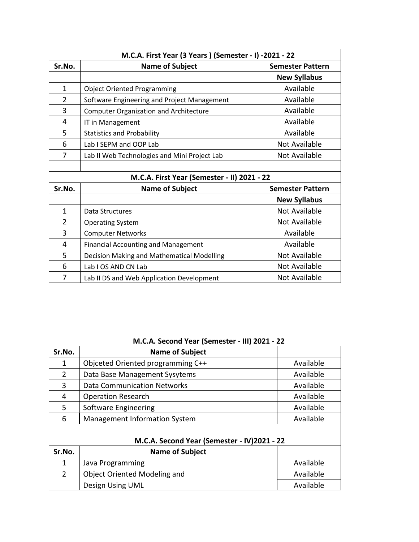| M.C.A. First Year (3 Years) (Semester - I) -2021 - 22 |                                               |                         |  |
|-------------------------------------------------------|-----------------------------------------------|-------------------------|--|
| Sr.No.                                                | <b>Name of Subject</b>                        | <b>Semester Pattern</b> |  |
|                                                       |                                               | <b>New Syllabus</b>     |  |
| $\mathbf{1}$                                          | <b>Object Oriented Programming</b>            | Available               |  |
| $\overline{2}$                                        | Software Engineering and Project Management   | Available               |  |
| 3                                                     | <b>Computer Organization and Architecture</b> | Available               |  |
| 4                                                     | IT in Management                              | Available               |  |
| 5                                                     | <b>Statistics and Probability</b>             | Available               |  |
| 6                                                     | Lab I SEPM and OOP Lab                        | Not Available           |  |
| 7                                                     | Lab II Web Technologies and Mini Project Lab  | Not Available           |  |
|                                                       |                                               |                         |  |
|                                                       | M.C.A. First Year (Semester - II) 2021 - 22   |                         |  |
| Sr.No.                                                | <b>Name of Subject</b>                        | <b>Semester Pattern</b> |  |
|                                                       |                                               | <b>New Syllabus</b>     |  |
| $\mathbf{1}$                                          | Data Structures                               | Not Available           |  |
| $\overline{2}$                                        | <b>Operating System</b>                       | Not Available           |  |
| 3                                                     | <b>Computer Networks</b>                      | Available               |  |
| 4                                                     | <b>Financial Accounting and Management</b>    | Available               |  |
| 5                                                     | Decision Making and Mathematical Modelling    | Not Available           |  |
| 6                                                     | Lab I OS AND CN Lab                           | Not Available           |  |
| 7                                                     | Lab II DS and Web Application Development     | Not Available           |  |

|               | M.C.A. Second Year (Semester - III) 2021 - 22 |           |
|---------------|-----------------------------------------------|-----------|
| Sr.No.        | <b>Name of Subject</b>                        |           |
| 1             | Objceted Oriented programming C++             | Available |
| $\mathcal{P}$ | Data Base Management Sysytems                 | Available |
| 3             | <b>Data Communication Networks</b>            | Available |
| 4             | <b>Operation Research</b>                     | Available |
| 5             | Software Engineering                          | Available |
| 6             | Management Information System                 | Available |
|               |                                               |           |
|               | M.C.A. Second Year (Semester - IV)2021 - 22   |           |
| Sr.No.        | <b>Name of Subject</b>                        |           |
| 1             | Java Programming                              | Available |
| $\mathcal{P}$ | Object Oriented Modeling and                  | Available |
|               | Design Using UML                              | Available |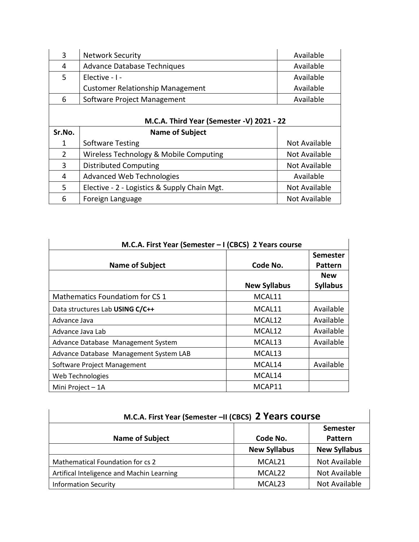| 3      | <b>Network Security</b>                      | Available     |  |  |
|--------|----------------------------------------------|---------------|--|--|
| 4      | <b>Advance Database Techniques</b>           | Available     |  |  |
| 5      | Elective - I -                               | Available     |  |  |
|        | <b>Customer Relationship Management</b>      | Available     |  |  |
| 6      | Software Project Management                  | Available     |  |  |
|        |                                              |               |  |  |
|        | M.C.A. Third Year (Semester -V) 2021 - 22    |               |  |  |
| Sr.No. | <b>Name of Subject</b>                       |               |  |  |
| 1      | <b>Software Testing</b>                      | Not Available |  |  |
| 2      | Wireless Technology & Mobile Computing       | Not Available |  |  |
| 3      | <b>Distributed Computing</b>                 | Not Available |  |  |
|        |                                              |               |  |  |
| 4      | <b>Advanced Web Technologies</b>             | Available     |  |  |
| 5.     | Elective - 2 - Logistics & Supply Chain Mgt. | Not Available |  |  |

| M.C.A. First Year (Semester - I (CBCS) 2 Years course |                     |                            |  |
|-------------------------------------------------------|---------------------|----------------------------|--|
| <b>Name of Subject</b>                                | Code No.            | <b>Semester</b><br>Pattern |  |
|                                                       |                     | <b>New</b>                 |  |
|                                                       | <b>New Syllabus</b> | <b>Syllabus</b>            |  |
| Mathematics Foundatiom for CS 1                       | MCAL11              |                            |  |
| Data structures Lab USING C/C++                       | MCAL11              | Available                  |  |
| Advance Java                                          | MCAL12              | Available                  |  |
| Advance Java Lab                                      | MCAL12              | Available                  |  |
| Advance Database Management System                    | MCAL13              | Available                  |  |
| Advance Database Management System LAB                | MCAL13              |                            |  |
| Software Project Management                           | MCAL14              | Available                  |  |
| Web Technologies                                      | MCAL14              |                            |  |
| Mini Project - 1A                                     | MCAP11              |                            |  |

| M.C.A. First Year (Semester -II (CBCS) 2 Years course |                     |                     |
|-------------------------------------------------------|---------------------|---------------------|
|                                                       |                     | <b>Semester</b>     |
| <b>Name of Subject</b>                                | Code No.            | <b>Pattern</b>      |
|                                                       | <b>New Syllabus</b> | <b>New Syllabus</b> |
| Mathematical Foundation for cs 2                      | MCAL <sub>21</sub>  | Not Available       |
| Artifical Inteligence and Machin Learning             | MCAL22              | Not Available       |
| <b>Information Security</b>                           | MCAL <sub>23</sub>  | Not Available       |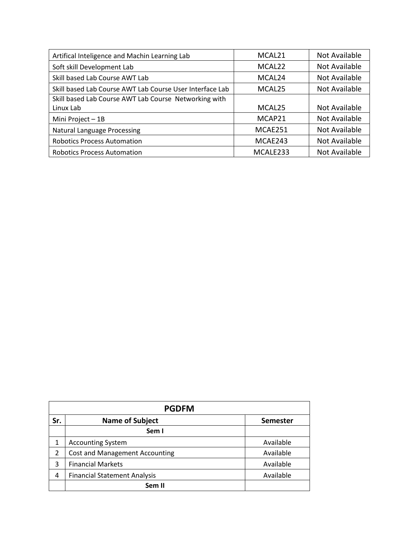| Artifical Inteligence and Machin Learning Lab            | MCAL <sub>21</sub>   | Not Available |
|----------------------------------------------------------|----------------------|---------------|
| Soft skill Development Lab                               | MCAL <sub>22</sub>   | Not Available |
| Skill based Lab Course AWT Lab                           | MCAL <sub>24</sub>   | Not Available |
| Skill based Lab Course AWT Lab Course User Interface Lab | MCAL <sub>25</sub>   | Not Available |
| Skill based Lab Course AWT Lab Course Networking with    |                      |               |
| Linux Lab                                                | MCAL <sub>25</sub>   | Not Available |
| Mini Project - 1B                                        | MCAP21               | Not Available |
| <b>Natural Language Processing</b>                       | MCAE251              | Not Available |
| <b>Robotics Process Automation</b>                       | MCAE243              | Not Available |
| <b>Robotics Process Automation</b>                       | MCALE <sub>233</sub> | Not Available |

| <b>PGDFM</b> |                                       |                 |  |  |
|--------------|---------------------------------------|-----------------|--|--|
| Sr.          | <b>Name of Subject</b>                | <b>Semester</b> |  |  |
|              | Sem I                                 |                 |  |  |
| 1            | <b>Accounting System</b>              | Available       |  |  |
| 2            | <b>Cost and Management Accounting</b> | Available       |  |  |
| 3            | <b>Financial Markets</b>              | Available       |  |  |
| 4            | <b>Financial Statement Analysis</b>   | Available       |  |  |
|              | Sem II                                |                 |  |  |

 $\overline{\phantom{a}}$